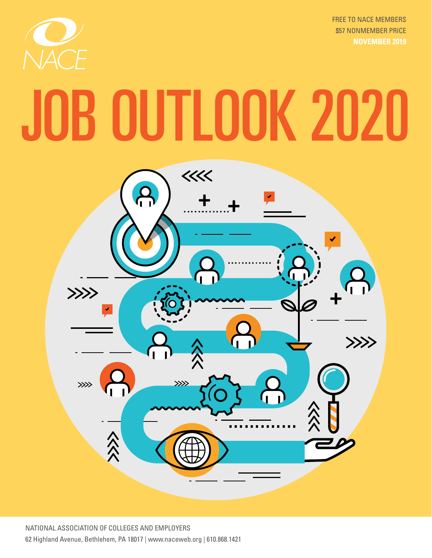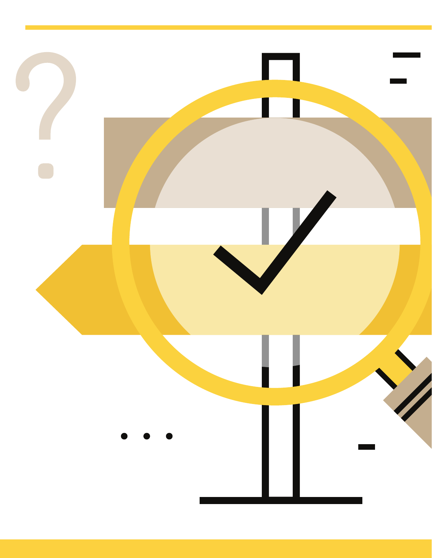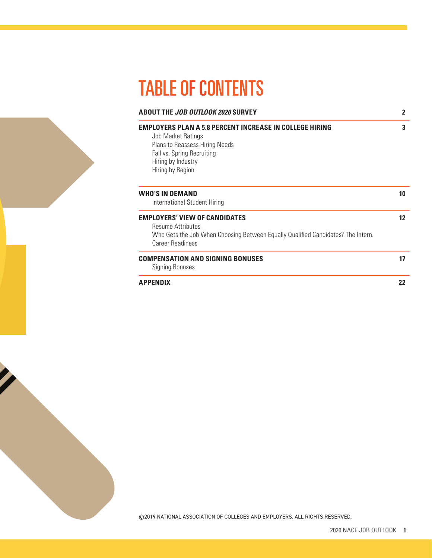# TABLE OF CONTENTS

| <b>EMPLOYERS PLAN A 5.8 PERCENT INCREASE IN COLLEGE HIRING</b><br>Job Market Ratings<br>Plans to Reassess Hiring Needs<br>Fall vs. Spring Recruiting<br>Hiring by Industry<br>Hiring by Region |  |
|------------------------------------------------------------------------------------------------------------------------------------------------------------------------------------------------|--|
| <b>WHO'S IN DEMAND</b><br>International Student Hiring                                                                                                                                         |  |
| <b>EMPLOYERS' VIEW OF CANDIDATES</b><br><b>Resume Attributes</b><br>Who Gets the Job When Choosing Between Equally Qualified Candidates? The Intern.<br><b>Career Readiness</b>                |  |
| <b>COMPENSATION AND SIGNING BONUSES</b><br><b>Signing Bonuses</b>                                                                                                                              |  |
| <b>APPENDIX</b>                                                                                                                                                                                |  |

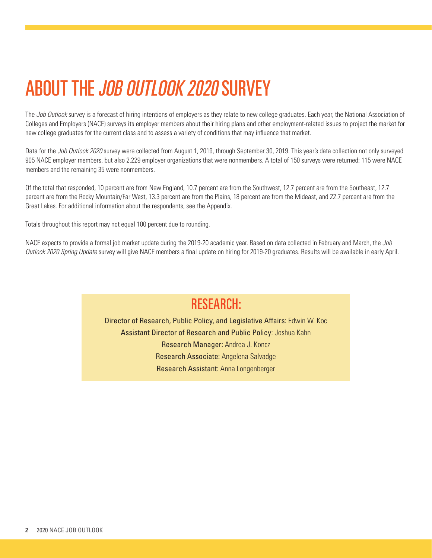# <span id="page-3-0"></span>ABOUT THE JOB OUTLOOK 2020 SURVEY

The *Job Outlook* survey is a forecast of hiring intentions of employers as they relate to new college graduates. Each year, the National Association of Colleges and Employers (NACE) surveys its employer members about their hiring plans and other employment-related issues to project the market for new college graduates for the current class and to assess a variety of conditions that may influence that market.

Data for the *Job Outlook 2020* survey were collected from August 1, 2019, through September 30, 2019. This year's data collection not only surveyed 905 NACE employer members, but also 2,229 employer organizations that were nonmembers. A total of 150 surveys were returned; 115 were NACE members and the remaining 35 were nonmembers.

Of the total that responded, 10 percent are from New England, 10.7 percent are from the Southwest, 12.7 percent are from the Southeast, 12.7 percent are from the Rocky Mountain/Far West, 13.3 percent are from the Plains, 18 percent are from the Mideast, and 22.7 percent are from the Great Lakes. For additional information about the respondents, see the Appendix.

Totals throughout this report may not equal 100 percent due to rounding.

NACE expects to provide a formal job market update during the 2019-20 academic year. Based on data collected in February and March, the *Job Outlook 2020 Spring Update* survey will give NACE members a final update on hiring for 2019-20 graduates. Results will be available in early April.

# RESEARCH:

Director of Research, Public Policy, and Legislative Affairs: Edwin W. Koc Assistant Director of Research and Public Policy: Joshua Kahn Research Manager: Andrea J. Koncz Research Associate: Angelena Salvadge Research Assistant: Anna Longenberger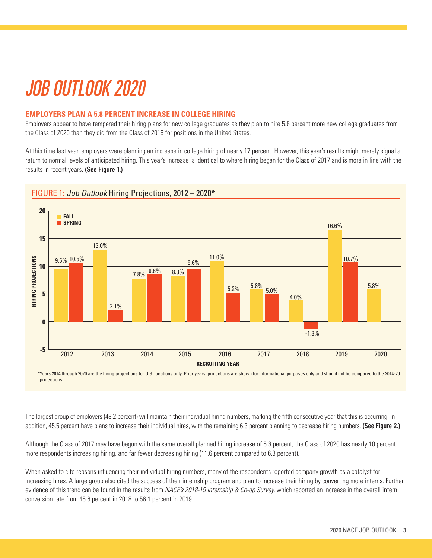# JOB OUTLOOK 2020

#### **EMPLOYERS PLAN A 5.8 PERCENT INCREASE IN COLLEGE HIRING**

Employers appear to have tempered their hiring plans for new college graduates as they plan to hire 5.8 percent more new college graduates from the Class of 2020 than they did from the Class of 2019 for positions in the United States.

At this time last year, employers were planning an increase in college hiring of nearly 17 percent. However, this year's results might merely signal a return to normal levels of anticipated hiring. This year's increase is identical to where hiring began for the Class of 2017 and is more in line with the results in recent years. (See Figure 1.)



\*Years 2014 through 2020 are the hiring projections for U.S. locations only. Prior years' projections are shown for informational purposes only and should not be compared to the 2014-20 projections.

The largest group of employers (48.2 percent) will maintain their individual hiring numbers, marking the fifth consecutive year that this is occurring. In addition, 45.5 percent have plans to increase their individual hires, with the remaining 6.3 percent planning to decrease hiring numbers. (See Figure 2.)

Although the Class of 2017 may have begun with the same overall planned hiring increase of 5.8 percent, the Class of 2020 has nearly 10 percent more respondents increasing hiring, and far fewer decreasing hiring (11.6 percent compared to 6.3 percent).

When asked to cite reasons influencing their individual hiring numbers, many of the respondents reported company growth as a catalyst for increasing hires. A large group also cited the success of their internship program and plan to increase their hiring by converting more interns. Further evidence of this trend can be found in the results from *NACE's 2018-19 Internship & Co-op Survey,* which reported an increase in the overall intern conversion rate from 45.6 percent in 2018 to 56.1 percent in 2019.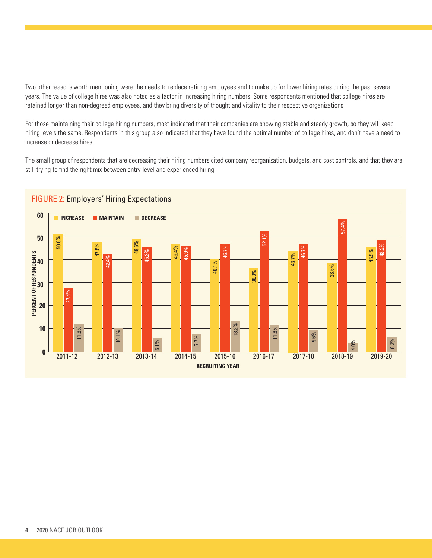Two other reasons worth mentioning were the needs to replace retiring employees and to make up for lower hiring rates during the past several years. The value of college hires was also noted as a factor in increasing hiring numbers. Some respondents mentioned that college hires are retained longer than non-degreed employees, and they bring diversity of thought and vitality to their respective organizations.

For those maintaining their college hiring numbers, most indicated that their companies are showing stable and steady growth, so they will keep hiring levels the same. Respondents in this group also indicated that they have found the optimal number of college hires, and don't have a need to increase or decrease hires.

The small group of respondents that are decreasing their hiring numbers cited company reorganization, budgets, and cost controls, and that they are still trying to find the right mix between entry-level and experienced hiring.

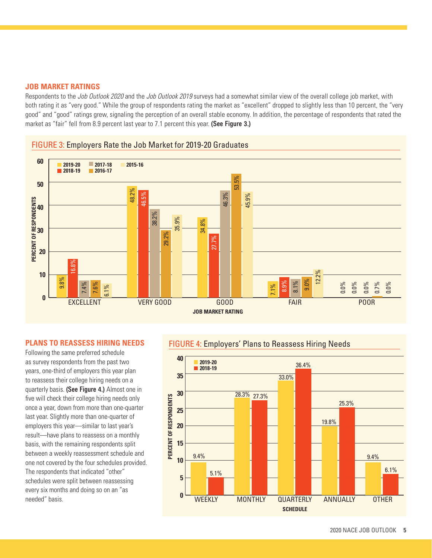#### **JOB MARKET RATINGS**

Respondents to the *Job Outlook 2020* and the *Job Outlook 2019* surveys had a somewhat similar view of the overall college job market, with both rating it as "very good." While the group of respondents rating the market as "excellent" dropped to slightly less than 10 percent, the "very good" and "good" ratings grew, signaling the perception of an overall stable economy. In addition, the percentage of respondents that rated the market as "fair" fell from 8.9 percent last year to 7.1 percent this year. (See Figure 3.)



#### FIGURE 3: Employers Rate the Job Market for 2019-20 Graduates

#### **PLANS TO REASSESS HIRING NEEDS**

Following the same preferred schedule as survey respondents from the past two years, one-third of employers this year plan to reassess their college hiring needs on a quarterly basis. (See Figure 4.) Almost one in five will check their college hiring needs only once a year, down from more than one-quarter last year. Slightly more than one-quarter of employers this year—similar to last year's result—have plans to reassess on a monthly basis, with the remaining respondents split between a weekly reassessment schedule and one not covered by the four schedules provided. The respondents that indicated "other" schedules were split between reassessing every six months and doing so on an "as needed" basis.

#### FIGURE 4: Employers' Plans to Reassess Hiring Needs

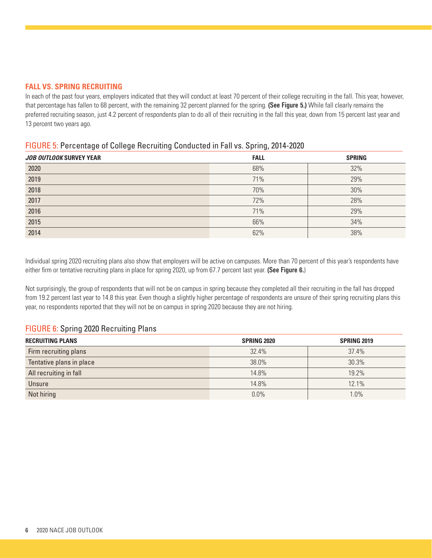#### **FALL VS. SPRING RECRUITING**

In each of the past four years, employers indicated that they will conduct at least 70 percent of their college recruiting in the fall. This year, however, that percentage has fallen to 68 percent, with the remaining 32 percent planned for the spring. (See Figure 5.) While fall clearly remains the preferred recruiting season, just 4.2 percent of respondents plan to do all of their recruiting in the fall this year, down from 15 percent last year and 13 percent two years ago.

#### FIGURE 5: Percentage of College Recruiting Conducted in Fall vs. Spring, 2014-2020

| <b>JOB OUTLOOK SURVEY YEAR</b> | <b>FALL</b> | <b>SPRING</b> |
|--------------------------------|-------------|---------------|
| 2020                           | 68%         | 32%           |
| 2019                           | 71%         | 29%           |
| $\frac{1}{2018}$               | 70%         | 30%           |
| $\overline{2017}$              | 72%         | 28%           |
| 2016                           | 71%         | 29%           |
| 2015                           | 66%         | 34%           |
| 2014                           | 62%         | 38%           |

Individual spring 2020 recruiting plans also show that employers will be active on campuses. More than 70 percent of this year's respondents have either firm or tentative recruiting plans in place for spring 2020, up from 67.7 percent last year. (See Figure 6.)

Not surprisingly, the group of respondents that will not be on campus in spring because they completed all their recruiting in the fall has dropped from 19.2 percent last year to 14.8 this year. Even though a slightly higher percentage of respondents are unsure of their spring recruiting plans this year, no respondents reported that they will not be on campus in spring 2020 because they are not hiring.

#### FIGURE 6: Spring 2020 Recruiting Plans

| <b>RECRUITING PLANS</b>  | <b>SPRING 2020</b> | <b>SPRING 2019</b> |
|--------------------------|--------------------|--------------------|
| Firm recruiting plans    | 32.4%              | 37.4%              |
| Tentative plans in place | 38.0%              | 30.3%              |
| All recruiting in fall   | 14.8%              | 19.2%              |
| Unsure                   | 14.8%              | $12.1\%$           |
| Not hiring               | 0.0%               | $1.0\%$            |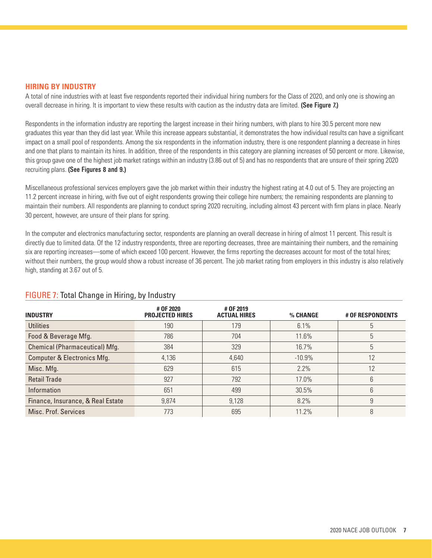#### **HIRING BY INDUSTRY**

A total of nine industries with at least five respondents reported their individual hiring numbers for the Class of 2020, and only one is showing an overall decrease in hiring. It is important to view these results with caution as the industry data are limited. (See Figure 7.)

Respondents in the information industry are reporting the largest increase in their hiring numbers, with plans to hire 30.5 percent more new graduates this year than they did last year. While this increase appears substantial, it demonstrates the how individual results can have a significant impact on a small pool of respondents. Among the six respondents in the information industry, there is one respondent planning a decrease in hires and one that plans to maintain its hires. In addition, three of the respondents in this category are planning increases of 50 percent or more. Likewise, this group gave one of the highest job market ratings within an industry (3.86 out of 5) and has no respondents that are unsure of their spring 2020 recruiting plans. (See Figures 8 and 9.)

Miscellaneous professional services employers gave the job market within their industry the highest rating at 4.0 out of 5. They are projecting an 11.2 percent increase in hiring, with five out of eight respondents growing their college hire numbers; the remaining respondents are planning to maintain their numbers. All respondents are planning to conduct spring 2020 recruiting, including almost 43 percent with firm plans in place. Nearly 30 percent, however, are unsure of their plans for spring.

In the computer and electronics manufacturing sector, respondents are planning an overall decrease in hiring of almost 11 percent. This result is directly due to limited data. Of the 12 industry respondents, three are reporting decreases, three are maintaining their numbers, and the remaining six are reporting increases—some of which exceed 100 percent. However, the firms reporting the decreases account for most of the total hires; without their numbers, the group would show a robust increase of 36 percent. The job market rating from employers in this industry is also relatively high, standing at 3.67 out of 5.

| <b>INDUSTRY</b>                        | # OF 2020<br><b>PROJECTED HIRES</b> | # OF 2019<br><b>ACTUAL HIRES</b> | % CHANGE | # OF RESPONDENTS |
|----------------------------------------|-------------------------------------|----------------------------------|----------|------------------|
| <b>Utilities</b>                       | 190                                 | 179                              | 6.1%     | ხ                |
| Food & Beverage Mfg.                   | 786                                 | 704                              | 11.6%    | ხ                |
| Chemical (Pharmaceutical) Mfg.         | 384                                 | 329                              | 16.7%    | 5                |
| <b>Computer &amp; Electronics Mfg.</b> | 4,136                               | 4,640                            | $-10.9%$ | 12               |
| Misc. Mfg.                             | 629                                 | 615                              | $2.2\%$  | 12               |
| <b>Retail Trade</b>                    | 927                                 | 792                              | 17.0%    | 6                |
| Information                            | 651                                 | 499                              | 30.5%    | 6                |
| Finance, Insurance, & Real Estate      | 9,874                               | 9,128                            | 8.2%     | 9                |
| Misc. Prof. Services                   | 773                                 | 695                              | 11.2%    | 8                |

#### FIGURE 7: Total Change in Hiring, by Industry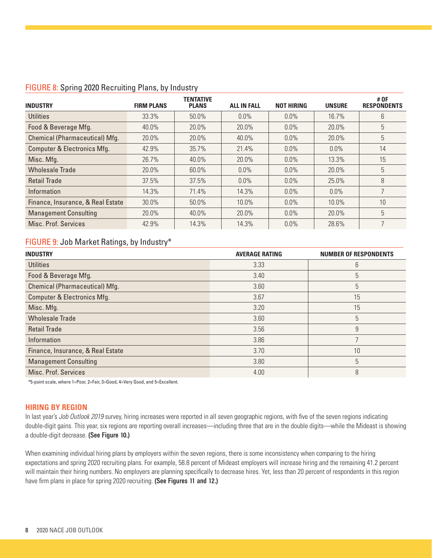| <b>INDUSTRY</b>                        | <b>FIRM PLANS</b> | <b>TENTATIVE</b><br><b>PLANS</b> | <b>ALL IN FALL</b> | <b>NOT HIRING</b> | <b>UNSURE</b> | # OF<br><b>RESPONDENTS</b> |
|----------------------------------------|-------------------|----------------------------------|--------------------|-------------------|---------------|----------------------------|
| <b>Utilities</b>                       | 33.3%             | 50.0%                            | $0.0\%$            | $0.0\%$           | 16.7%         | 6                          |
| Food & Beverage Mfg.                   | 40.0%             | 20.0%                            | 20.0%              | 0.0%              | 20.0%         | 5                          |
| Chemical (Pharmaceutical) Mfg.         | $20.0\%$          | 20.0%                            | 40.0%              | 0.0%              | 20.0%         | 5                          |
| <b>Computer &amp; Electronics Mfg.</b> | 42.9%             | 35.7%                            | 21.4%              | 0.0%              | 0.0%          | 14                         |
| Misc. Mfg.                             | 26.7%             | $40.0\%$                         | $20.0\%$           | 0.0%              | 13.3%         | 15                         |
| Wholesale Trade                        | 20.0%             | $60.0\%$                         | $0.0\%$            | $0.0\%$           | 20.0%         | 5                          |
| <b>Retail Trade</b>                    | 37.5%             | 37.5%                            | $0.0\%$            | $0.0\%$           | 25.0%         | 8                          |
| Information                            | 14.3%             | 71.4%                            | 14.3%              | $0.0\%$           | $0.0\%$       |                            |
| Finance, Insurance, & Real Estate      | 30.0%             | 50.0%                            | $10.0\%$           | 0.0%              | $10.0\%$      | 10                         |
| <b>Management Consulting</b>           | 20.0%             | 40.0%                            | $20.0\%$           | 0.0%              | 20.0%         | 5                          |
| Misc. Prof. Services                   | 42.9%             | 14.3%                            | 14.3%              | $0.0\%$           | 28.6%         | ᄀ                          |

### FIGURE 8: Spring 2020 Recruiting Plans, by Industry

### FIGURE 9: Job Market Ratings, by Industry\*

| <b>INDUSTRY</b>                   | <b>AVERAGE RATING</b> | <b>NUMBER OF RESPONDENTS</b> |
|-----------------------------------|-----------------------|------------------------------|
| <b>Utilities</b>                  | 3.33                  | 6                            |
| Food & Beverage Mfg.              | 3.40                  | 5                            |
| Chemical (Pharmaceutical) Mfg.    | 3.60                  | 5                            |
| Computer & Electronics Mfg.       | 3.67                  | 15                           |
| Misc. Mfg.                        | 3.20                  | 15                           |
| <b>Wholesale Trade</b>            | 3.60                  | 5                            |
| <b>Retail Trade</b>               | 3.56                  | 9                            |
| Information                       | 3.86                  |                              |
| Finance, Insurance, & Real Estate | 3.70                  | 10                           |
| <b>Management Consulting</b>      | 3.80                  | 5                            |
| Misc. Prof. Services              | 4.00                  | 8                            |

\*5-point scale, where 1=Poor, 2=Fair, 3=Good, 4=Very Good, and 5=Excellent.

#### **HIRING BY REGION**

In last year's *Job Outlook 2019* survey, hiring increases were reported in all seven geographic regions, with five of the seven regions indicating double-digit gains. This year, six regions are reporting overall increases—including three that are in the double digits—while the Mideast is showing a double-digit decrease. (See Figure 10.)

When examining individual hiring plans by employers within the seven regions, there is some inconsistency when comparing to the hiring expectations and spring 2020 recruiting plans. For example, 58.8 percent of Mideast employers will increase hiring and the remaining 41.2 percent will maintain their hiring numbers. No employers are planning specifically to decrease hires. Yet, less than 20 percent of respondents in this region have firm plans in place for spring 2020 recruiting. (See Figures 11 and 12.)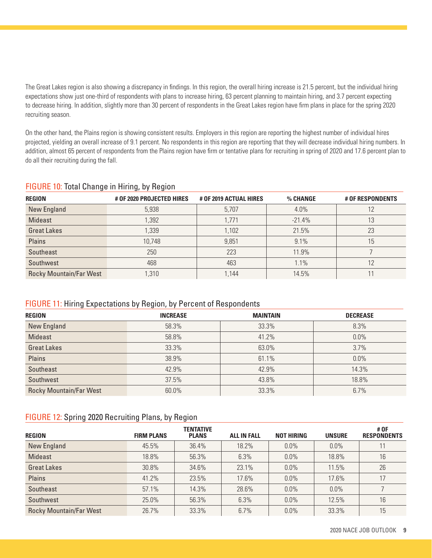The Great Lakes region is also showing a discrepancy in findings. In this region, the overall hiring increase is 21.5 percent, but the individual hiring expectations show just one-third of respondents with plans to increase hiring, 63 percent planning to maintain hiring, and 3.7 percent expecting to decrease hiring. In addition, slightly more than 30 percent of respondents in the Great Lakes region have firm plans in place for the spring 2020 recruiting season.

On the other hand, the Plains region is showing consistent results. Employers in this region are reporting the highest number of individual hires projected, yielding an overall increase of 9.1 percent. No respondents in this region are reporting that they will decrease individual hiring numbers. In addition, almost 65 percent of respondents from the Plains region have firm or tentative plans for recruiting in spring of 2020 and 17.6 percent plan to do all their recruiting during the fall.

#### FIGURE 10: Total Change in Hiring, by Region

| <b>REGION</b>                  | # OF 2020 PROJECTED HIRES | # OF 2019 ACTUAL HIRES | % CHANGE | # OF RESPONDENTS |
|--------------------------------|---------------------------|------------------------|----------|------------------|
| <b>New England</b>             | 5,938                     | 5,707                  | $4.0\%$  |                  |
| <b>Mideast</b>                 | 1,392                     | 1,771                  | $-21.4%$ | 13               |
| <b>Great Lakes</b>             | 1,339                     | 1,102                  | 21.5%    | 23               |
| Plains                         | 10,748                    | 9,851                  | 9.1%     | 15               |
| Southeast                      | 250                       | 223                    | 11.9%    |                  |
| Southwest                      | 468                       | 463                    | 1.1%     | 12               |
| <b>Rocky Mountain/Far West</b> | 1,310                     | 1,144                  | 14.5%    |                  |

#### FIGURE 11: Hiring Expectations by Region, by Percent of Respondents

| <b>REGION</b>                  | <b>INCREASE</b> | <b>MAINTAIN</b> | <b>DECREASE</b> |
|--------------------------------|-----------------|-----------------|-----------------|
| <b>New England</b>             | 58.3%           | 33.3%           | 8.3%            |
| <b>Mideast</b>                 | 58.8%           | 41.2%           | 0.0%            |
| <b>Great Lakes</b>             | 33.3%           | 63.0%           | 3.7%            |
| <b>Plains</b>                  | 38.9%           | 61.1%           | 0.0%            |
| Southeast                      | 42.9%           | 42.9%           | 14.3%           |
| Southwest                      | 37.5%           | 43.8%           | 18.8%           |
| <b>Rocky Mountain/Far West</b> | 60.0%           | 33.3%           | 6.7%            |

#### FIGURE 12: Spring 2020 Recruiting Plans, by Region

| <b>REGION</b>                  | <b>FIRM PLANS</b> | <b>TENTATIVE</b><br><b>PLANS</b> | <b>ALL IN FALL</b> | <b>NOT HIRING</b> | <b>UNSURE</b> | # OF<br><b>RESPONDENTS</b> |
|--------------------------------|-------------------|----------------------------------|--------------------|-------------------|---------------|----------------------------|
| New England                    | 45.5%             | 36.4%                            | 18.2%              | 0.0%              | 0.0%          | 11                         |
| <b>Mideast</b>                 | 18.8%             | 56.3%                            | 6.3%               | 0.0%              | 18.8%         | 16                         |
| <b>Great Lakes</b>             | 30.8%             | 34.6%                            | 23.1%              | 0.0%              | 11.5%         | 26                         |
| <b>Plains</b>                  | 41.2%             | 23.5%                            | 17.6%              | 0.0%              | 17.6%         | 17                         |
| Southeast                      | 57.1%             | 14.3%                            | 28.6%              | 0.0%              | 0.0%          |                            |
| Southwest                      | 25.0%             | 56.3%                            | 6.3%               | 0.0%              | 12.5%         | 16                         |
| <b>Rocky Mountain/Far West</b> | 26.7%             | 33.3%                            | 6.7%               | 0.0%              | 33.3%         | 15                         |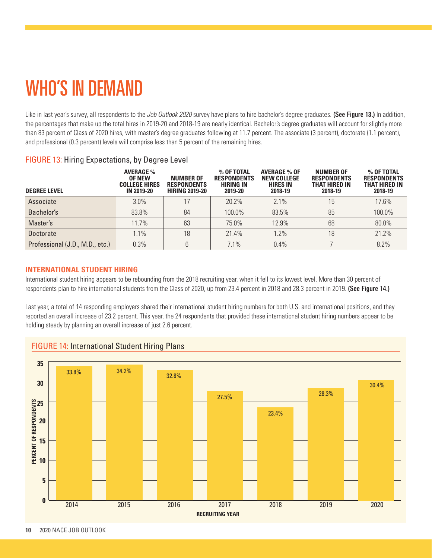# <span id="page-11-0"></span>WHO'S IN DEMAND

Like in last year's survey, all respondents to the *Job Outlook 2020* survey have plans to hire bachelor's degree graduates. (See Figure 13.) In addition, the percentages that make up the total hires in 2019-20 and 2018-19 are nearly identical. Bachelor's degree graduates will account for slightly more than 83 percent of Class of 2020 hires, with master's degree graduates following at 11.7 percent. The associate (3 percent), doctorate (1.1 percent), and professional (0.3 percent) levels will comprise less than 5 percent of the remaining hires.

| <b>DEGREE LEVEL</b>             | <b>AVERAGE</b> %<br><b>OF NEW</b><br><b>COLLEGE HIRES</b><br><b>IN 2019-20</b> | <b>NUMBER OF</b><br><b>RESPONDENTS</b><br><b>HIRING 2019-20</b> | % OF TOTAL<br><b>RESPONDENTS</b><br><b>HIRING IN</b><br>2019-20 | <b>AVERAGE % OF</b><br><b>NEW COLLEGE</b><br><b>HIRES IN</b><br>2018-19 | <b>NUMBER OF</b><br><b>RESPONDENTS</b><br>THAT HIRED IN<br>2018-19 | % OF TOTAL<br><b>RESPONDENTS</b><br>THAT HIRED IN<br>2018-19 |
|---------------------------------|--------------------------------------------------------------------------------|-----------------------------------------------------------------|-----------------------------------------------------------------|-------------------------------------------------------------------------|--------------------------------------------------------------------|--------------------------------------------------------------|
| Associate                       | 3.0%                                                                           |                                                                 | 20.2%                                                           | 2.1%                                                                    | 15                                                                 | 17.6%                                                        |
| Bachelor's                      | 83.8%                                                                          | 84                                                              | 100.0%                                                          | 83.5%                                                                   | 85                                                                 | 100.0%                                                       |
| Master's                        | 11.7%                                                                          | 63                                                              | 75.0%                                                           | 12.9%                                                                   | 68                                                                 | 80.0%                                                        |
| <b>Doctorate</b>                | 1.1%                                                                           | 18                                                              | 21.4%                                                           | 1.2%                                                                    | 18                                                                 | 21.2%                                                        |
| Professional (J.D., M.D., etc.) | 0.3%                                                                           | 6                                                               | 7.1%                                                            | 0.4%                                                                    |                                                                    | 8.2%                                                         |

#### FIGURE 13: Hiring Expectations, by Degree Level

#### **INTERNATIONAL STUDENT HIRING**

International student hiring appears to be rebounding from the 2018 recruiting year, when it fell to its lowest level. More than 30 percent of respondents plan to hire international students from the Class of 2020, up from 23.4 percent in 2018 and 28.3 percent in 2019. (See Figure 14.)

Last year, a total of 14 responding employers shared their international student hiring numbers for both U.S. and international positions, and they reported an overall increase of 23.2 percent. This year, the 24 respondents that provided these international student hiring numbers appear to be holding steady by planning an overall increase of just 2.6 percent.

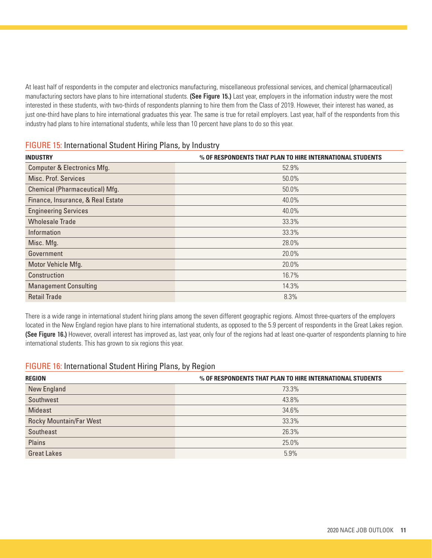At least half of respondents in the computer and electronics manufacturing, miscellaneous professional services, and chemical (pharmaceutical) manufacturing sectors have plans to hire international students. (See Figure 15.) Last year, employers in the information industry were the most interested in these students, with two-thirds of respondents planning to hire them from the Class of 2019. However, their interest has waned, as just one-third have plans to hire international graduates this year. The same is true for retail employers. Last year, half of the respondents from this industry had plans to hire international students, while less than 10 percent have plans to do so this year.

#### FIGURE 15: International Student Hiring Plans, by Industry

| <b>INDUSTRY</b>                        | % OF RESPONDENTS THAT PLAN TO HIRE INTERNATIONAL STUDENTS |
|----------------------------------------|-----------------------------------------------------------|
| <b>Computer &amp; Electronics Mfg.</b> | 52.9%                                                     |
| Misc. Prof. Services                   | 50.0%                                                     |
| Chemical (Pharmaceutical) Mfg.         | 50.0%                                                     |
| Finance, Insurance, & Real Estate      | 40.0%                                                     |
| <b>Engineering Services</b>            | 40.0%                                                     |
| <b>Wholesale Trade</b>                 | 33.3%                                                     |
| Information                            | 33.3%                                                     |
| Misc. Mfg.                             | 28.0%                                                     |
| Government                             | 20.0%                                                     |
| Motor Vehicle Mfg.                     | 20.0%                                                     |
| Construction                           | 16.7%                                                     |
| <b>Management Consulting</b>           | 14.3%                                                     |
| <b>Retail Trade</b>                    | 8.3%                                                      |

There is a wide range in international student hiring plans among the seven different geographic regions. Almost three-quarters of the employers located in the New England region have plans to hire international students, as opposed to the 5.9 percent of respondents in the Great Lakes region. (See Figure 16.) However, overall interest has improved as, last year, only four of the regions had at least one-quarter of respondents planning to hire international students. This has grown to six regions this year.

#### FIGURE 16: International Student Hiring Plans, by Region

| <b>REGION</b>                  | % OF RESPONDENTS THAT PLAN TO HIRE INTERNATIONAL STUDENTS |
|--------------------------------|-----------------------------------------------------------|
| New England                    | 73.3%                                                     |
| Southwest                      | 43.8%                                                     |
| <b>Mideast</b>                 | 34.6%                                                     |
| <b>Rocky Mountain/Far West</b> | 33.3%                                                     |
| Southeast                      | 26.3%                                                     |
| Plains                         | 25.0%                                                     |
| <b>Great Lakes</b>             | 5.9%                                                      |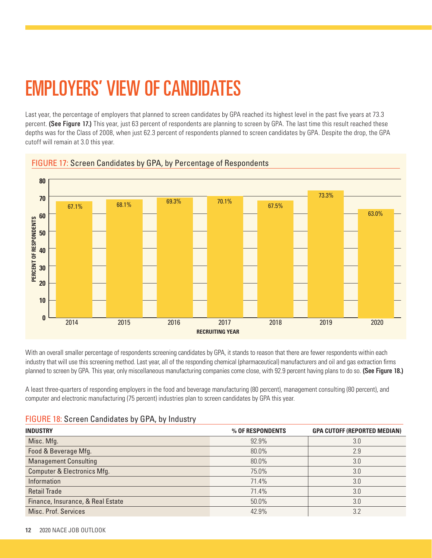# <span id="page-13-0"></span>EMPLOYERS' VIEW OF CANDIDATES

Last year, the percentage of employers that planned to screen candidates by GPA reached its highest level in the past five years at 73.3 percent. (See Figure 17.) This year, just 63 percent of respondents are planning to screen by GPA. The last time this result reached these depths was for the Class of 2008, when just 62.3 percent of respondents planned to screen candidates by GPA. Despite the drop, the GPA cutoff will remain at 3.0 this year.



### FIGURE 17: Screen Candidates by GPA, by Percentage of Respondents

With an overall smaller percentage of respondents screening candidates by GPA, it stands to reason that there are fewer respondents within each industry that will use this screening method. Last year, all of the responding chemical (pharmaceutical) manufacturers and oil and gas extraction firms planned to screen by GPA. This year, only miscellaneous manufacturing companies come close, with 92.9 percent having plans to do so. (See Figure 18.)

A least three-quarters of responding employers in the food and beverage manufacturing (80 percent), management consulting (80 percent), and computer and electronic manufacturing (75 percent) industries plan to screen candidates by GPA this year.

#### FIGURE 18: Screen Candidates by GPA, by Industry

| <b>INDUSTRY</b>                        | % OF RESPONDENTS | <b>GPA CUTOFF (REPORTED MEDIAN)</b> |
|----------------------------------------|------------------|-------------------------------------|
| Misc. Mfg.                             | 92.9%            | 3.0                                 |
| Food & Beverage Mfg.                   | 80.0%            | 2.9                                 |
| <b>Management Consulting</b>           | 80.0%            | 3.0                                 |
| <b>Computer &amp; Electronics Mfg.</b> | 75.0%            | 3.0                                 |
| Information                            | 71.4%            | 3.0                                 |
| <b>Retail Trade</b>                    | 71.4%            | 3.0                                 |
| Finance, Insurance, & Real Estate      | 50.0%            | 3.0                                 |
| Misc. Prof. Services                   | 42.9%            | 3.2                                 |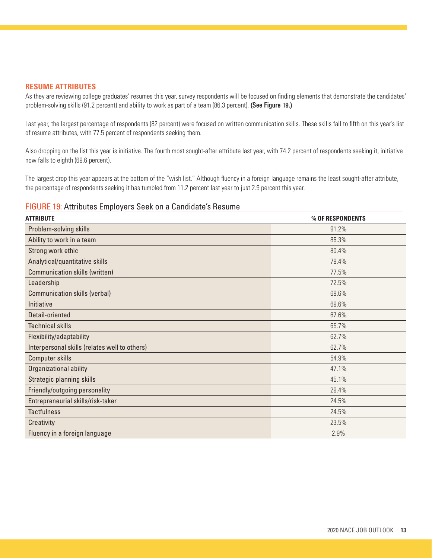#### **RESUME ATTRIBUTES**

As they are reviewing college graduates' resumes this year, survey respondents will be focused on finding elements that demonstrate the candidates' problem-solving skills (91.2 percent) and ability to work as part of a team (86.3 percent). (See Figure 19.)

Last year, the largest percentage of respondents (82 percent) were focused on written communication skills. These skills fall to fifth on this year's list of resume attributes, with 77.5 percent of respondents seeking them.

Also dropping on the list this year is initiative. The fourth most sought-after attribute last year, with 74.2 percent of respondents seeking it, initiative now falls to eighth (69.6 percent).

The largest drop this year appears at the bottom of the "wish list." Although fluency in a foreign language remains the least sought-after attribute, the percentage of respondents seeking it has tumbled from 11.2 percent last year to just 2.9 percent this year.

#### FIGURE 19: Attributes Employers Seek on a Candidate's Resume

| <b>ATTRIBUTE</b>                              | % OF RESPONDENTS |
|-----------------------------------------------|------------------|
| Problem-solving skills                        | 91.2%            |
| Ability to work in a team                     | 86.3%            |
| Strong work ethic                             | 80.4%            |
| Analytical/quantitative skills                | 79.4%            |
| Communication skills (written)                | 77.5%            |
| Leadership                                    | 72.5%            |
| <b>Communication skills (verbal)</b>          | 69.6%            |
| Initiative                                    | 69.6%            |
| Detail-oriented                               | 67.6%            |
| <b>Technical skills</b>                       | 65.7%            |
| Flexibility/adaptability                      | 62.7%            |
| Interpersonal skills (relates well to others) | 62.7%            |
| <b>Computer skills</b>                        | 54.9%            |
| Organizational ability                        | 47.1%            |
| Strategic planning skills                     | 45.1%            |
| Friendly/outgoing personality                 | 29.4%            |
| Entrepreneurial skills/risk-taker             | 24.5%            |
| <b>Tactfulness</b>                            | 24.5%            |
| Creativity                                    | 23.5%            |
| Fluency in a foreign language                 | 2.9%             |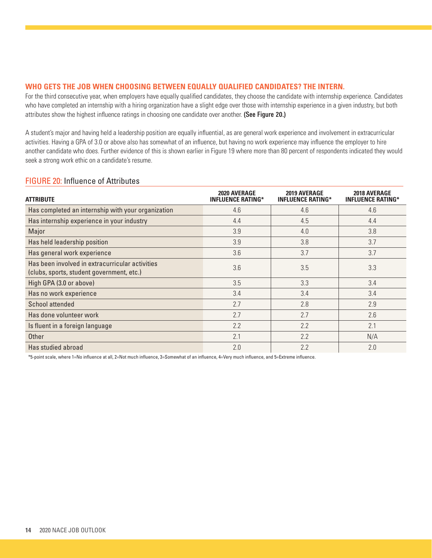#### **WHO GETS THE JOB WHEN CHOOSING BETWEEN EQUALLY QUALIFIED CANDIDATES? THE INTERN.**

For the third consecutive year, when employers have equally qualified candidates, they choose the candidate with internship experience. Candidates who have completed an internship with a hiring organization have a slight edge over those with internship experience in a given industry, but both attributes show the highest influence ratings in choosing one candidate over another. (See Figure 20.)

A student's major and having held a leadership position are equally influential, as are general work experience and involvement in extracurricular activities. Having a GPA of 3.0 or above also has somewhat of an influence, but having no work experience may influence the employer to hire another candidate who does. Further evidence of this is shown earlier in Figure 19 where more than 80 percent of respondents indicated they would seek a strong work ethic on a candidate's resume.

#### FIGURE 20: Influence of Attributes

| <b>ATTRIBUTE</b>                                                                             | 2020 AVERAGE<br><b>INFLUENCE RATING*</b> | <b>2019 AVERAGE</b><br><b>INFLUENCE RATING*</b> | <b>2018 AVERAGE</b><br><b>INFLUENCE RATING*</b> |
|----------------------------------------------------------------------------------------------|------------------------------------------|-------------------------------------------------|-------------------------------------------------|
| Has completed an internship with your organization                                           | 4.6                                      | 4.6                                             | 4.6                                             |
| Has internship experience in your industry                                                   | 4.4                                      | 4.5                                             | 4.4                                             |
| Major                                                                                        | 3.9                                      | 4.0                                             | 3.8                                             |
| Has held leadership position                                                                 | 3.9                                      | 3.8                                             | 3.7                                             |
| Has general work experience                                                                  | 3.6                                      | 3.7                                             | 3.7                                             |
| Has been involved in extracurricular activities<br>(clubs, sports, student government, etc.) | 3.6                                      | 3.5                                             | 3.3                                             |
| High GPA (3.0 or above)                                                                      | 3.5                                      | 3.3                                             | 3.4                                             |
| Has no work experience                                                                       | 3.4                                      | 3.4                                             | 3.4                                             |
| School attended                                                                              | 2.7                                      | 2.8                                             | 2.9                                             |
| Has done volunteer work                                                                      | 2.7                                      | 2.7                                             | 2.6                                             |
| Is fluent in a foreign language                                                              | 2.2                                      | 2.2                                             | 2.1                                             |
| Other                                                                                        | 2.1                                      | 2.2                                             | N/A                                             |
| Has studied abroad                                                                           | 2.0                                      | 2.2                                             | 2.0                                             |

\*5-point scale, where 1=No influence at all, 2=Not much influence, 3=Somewhat of an influence, 4=Very much influence, and 5=Extreme influence.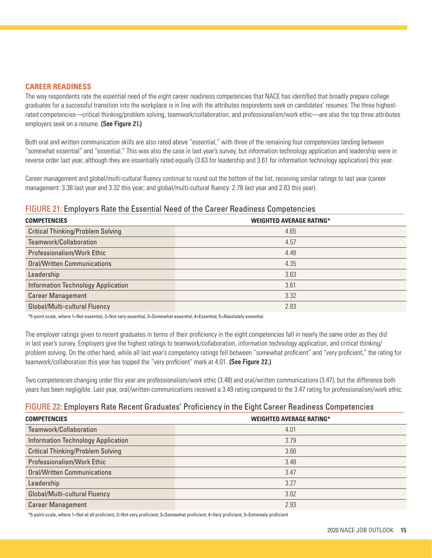#### **CAREER READINESS**

The way respondents rate the essential need of the eight career readiness competencies that NACE has identified that broadly prepare college graduates for a successful transition into the workplace is in line with the attributes respondents seek on candidates' resumes. The three highestrated competencies—critical thinking/problem solving, teamwork/collaboration, and professionalism/work ethic—are also the top three attributes employers seek on a resume. (See Figure 21.)

Both oral and written communication skills are also rated above "essential," with three of the remaining four competencies landing between "somewhat essential" and "essential." This was also the case in last year's survey, but information technology application and leadership were in reverse order last year, although they are essentially rated equally (3.63 for leadership and 3.61 for information technology application) this year.

Career management and global/multi-cultural fluency continue to round out the bottom of the list, receiving similar ratings to last year (career management: 3.38 last year and 3.32 this year; and global/multi-cultural fluency: 2.78 last year and 2.83 this year).

#### FIGURE 21: Employers Rate the Essential Need of the Career Readiness Competencies

| <b>COMPETENCIES</b>                       | <b>WEIGHTED AVERAGE RATING*</b> |
|-------------------------------------------|---------------------------------|
| <b>Critical Thinking/Problem Solving</b>  | 4.65                            |
| Teamwork/Collaboration                    | 4.57                            |
| Professionalism/Work Ethic                | 4.48                            |
| <b>Oral/Written Communications</b>        | 4.35                            |
| Leadership                                | 3.63                            |
| <b>Information Technology Application</b> | 3.61                            |
| <b>Career Management</b>                  | 3.32                            |
| Global/Multi-cultural Fluency             | 2.83                            |

\*5-point scale, where 1=Not essential, 2=Not very essential, 3=Somewhat essential, 4=Essential, 5=Absolutely essential.

The employer ratings given to recent graduates in terms of their proficiency in the eight competencies fall in nearly the same order as they did in last year's survey. Employers give the highest ratings to teamwork/collaboration, information technology application, and critical thinking/ problem solving. On the other hand, while all last year's competency ratings fell between "somewhat proficient" and "very proficient," the rating for teamwork/collaboration this year has topped the "very proficient" mark at 4.01. (See Figure 22.)

Two competencies changing order this year are professionalism/work ethic (3.48) and oral/written communications (3.47), but the difference both years has been negligible. Last year, oral/written communications received a 3.49 rating compared to the 3.47 rating for professionalism/work ethic.

#### FIGURE 22: Employers Rate Recent Graduates' Proficiency in the Eight Career Readiness Competencies

| <b>COMPETENCIES</b>                       | <b>WEIGHTED AVERAGE RATING*</b> |
|-------------------------------------------|---------------------------------|
| Teamwork/Collaboration                    | 4.01                            |
| <b>Information Technology Application</b> | 3.79                            |
| <b>Critical Thinking/Problem Solving</b>  | 3.66                            |
| Professionalism/Work Ethic                | 3.48                            |
| <b>Oral/Written Communications</b>        | 3.47                            |
| Leadership                                | 3.27                            |
| Global/Multi-cultural Fluency             | 3.02                            |
| <b>Career Management</b>                  | 2.93                            |

\*5-point scale, where 1=Not at all proficient, 2=Not very proficient, 3=Somewhat proficient, 4=Very proficient, 5=Extremely proficient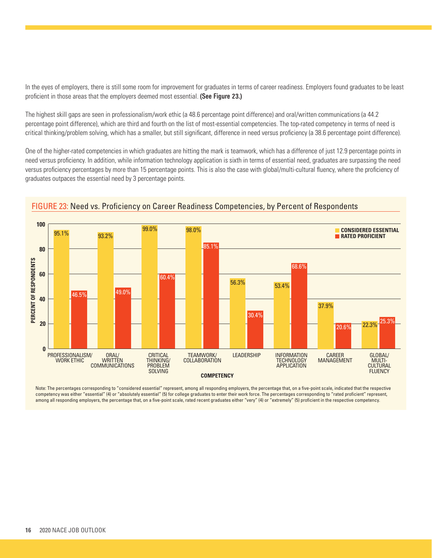In the eyes of employers, there is still some room for improvement for graduates in terms of career readiness. Employers found graduates to be least proficient in those areas that the employers deemed most essential. (See Figure 23.)

The highest skill gaps are seen in professionalism/work ethic (a 48.6 percentage point difference) and oral/written communications (a 44.2 percentage point difference), which are third and fourth on the list of most-essential competencies. The top-rated competency in terms of need is critical thinking/problem solving, which has a smaller, but still significant, difference in need versus proficiency (a 38.6 percentage point difference).

One of the higher-rated competencies in which graduates are hitting the mark is teamwork, which has a difference of just 12.9 percentage points in need versus proficiency. In addition, while information technology application is sixth in terms of essential need, graduates are surpassing the need versus proficiency percentages by more than 15 percentage points. This is also the case with global/multi-cultural fluency, where the proficiency of graduates outpaces the essential need by 3 percentage points.



FIGURE 23: Need vs. Proficiency on Career Readiness Competencies, by Percent of Respondents

Note: The percentages corresponding to "considered essential" represent, among all responding employers, the percentage that, on a five-point scale, indicated that the respective competency was either "essential" (4) or "absolutely essential" (5) for college graduates to enter their work force. The percentages corresponding to "rated proficient" represent, among all responding employers, the percentage that, on a five-point scale, rated recent graduates either "very" (4) or "extremely" (5) proficient in the respective competency.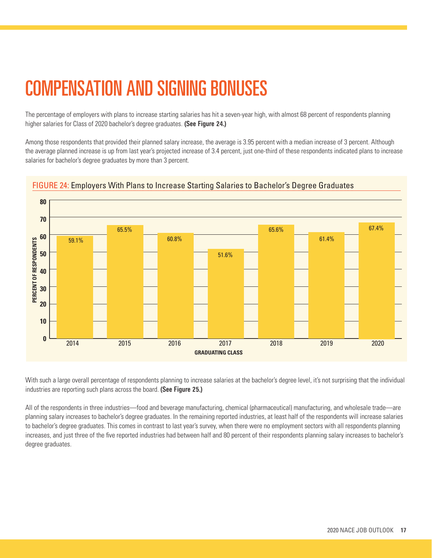# <span id="page-18-0"></span>COMPENSATION AND SIGNING BONUSES

The percentage of employers with plans to increase starting salaries has hit a seven-year high, with almost 68 percent of respondents planning higher salaries for Class of 2020 bachelor's degree graduates. (See Figure 24.)

Among those respondents that provided their planned salary increase, the average is 3.95 percent with a median increase of 3 percent. Although the average planned increase is up from last year's projected increase of 3.4 percent, just one-third of these respondents indicated plans to increase salaries for bachelor's degree graduates by more than 3 percent.



#### FIGURE 24: Employers With Plans to Increase Starting Salaries to Bachelor's Degree Graduates

With such a large overall percentage of respondents planning to increase salaries at the bachelor's degree level, it's not surprising that the individual industries are reporting such plans across the board. (See Figure 25.)

All of the respondents in three industries—food and beverage manufacturing, chemical (pharmaceutical) manufacturing, and wholesale trade—are planning salary increases to bachelor's degree graduates. In the remaining reported industries, at least half of the respondents will increase salaries to bachelor's degree graduates. This comes in contrast to last year's survey, when there were no employment sectors with all respondents planning increases, and just three of the five reported industries had between half and 80 percent of their respondents planning salary increases to bachelor's degree graduates.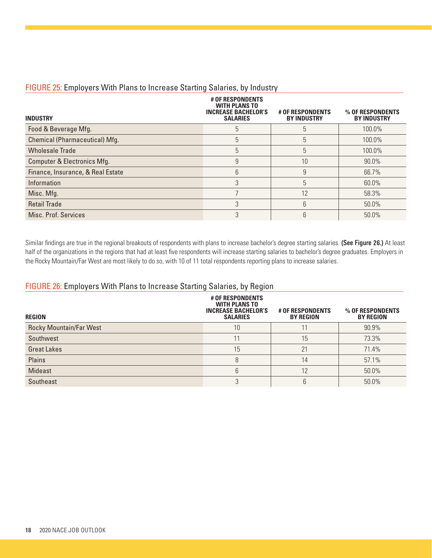### FIGURE 25: Employers With Plans to Increase Starting Salaries, by Industry

| <b>INDUSTRY</b>                        | # OF RESPONDENTS<br><b>WITH PLANS TO</b><br><b>INCREASE BACHELOR'S</b><br><b>SALARIES</b> | # OF RESPONDENTS<br><b>BY INDUSTRY</b> | % OF RESPONDENTS<br><b>BY INDUSTRY</b> |
|----------------------------------------|-------------------------------------------------------------------------------------------|----------------------------------------|----------------------------------------|
| Food & Beverage Mfg.                   | 5                                                                                         | b                                      | 100.0%                                 |
| Chemical (Pharmaceutical) Mfg.         | 5                                                                                         | 5                                      | 100.0%                                 |
| <b>Wholesale Trade</b>                 | 5                                                                                         | 5                                      | 100.0%                                 |
| <b>Computer &amp; Electronics Mfg.</b> | 9                                                                                         | 10                                     | 90.0%                                  |
| Finance, Insurance, & Real Estate      | 6                                                                                         | 9                                      | 66.7%                                  |
| Information                            | 3                                                                                         | 5                                      | 60.0%                                  |
| Misc. Mfg.                             |                                                                                           | 12                                     | 58.3%                                  |
| <b>Retail Trade</b>                    | 3                                                                                         | 6                                      | 50.0%                                  |
| Misc. Prof. Services                   | 3                                                                                         | h                                      | 50.0%                                  |

Similar findings are true in the regional breakouts of respondents with plans to increase bachelor's degree starting salaries. (See Figure 26.) At least half of the organizations in the regions that had at least five respondents will increase starting salaries to bachelor's degree graduates. Employers in the Rocky Mountain/Far West are most likely to do so, with 10 of 11 total respondents reporting plans to increase salaries.

### FIGURE 26: Employers With Plans to Increase Starting Salaries, by Region

| <b>REGION</b>                  | # OF RESPONDENTS<br><b>WITH PLANS TO</b><br><b>INCREASE BACHELOR'S</b><br><b>SALARIES</b> | # OF RESPONDENTS<br><b>BY REGION</b> | % OF RESPONDENTS<br><b>BY REGION</b> |
|--------------------------------|-------------------------------------------------------------------------------------------|--------------------------------------|--------------------------------------|
| <b>Rocky Mountain/Far West</b> | 10                                                                                        |                                      | 90.9%                                |
| Southwest                      |                                                                                           | 15                                   | 73.3%                                |
| <b>Great Lakes</b>             | 15                                                                                        | 21                                   | 71.4%                                |
| <b>Plains</b>                  | 8                                                                                         | 14                                   | 57.1%                                |
| <b>Mideast</b>                 | 6                                                                                         | 12                                   | 50.0%                                |
| Southeast                      |                                                                                           | b                                    | 50.0%                                |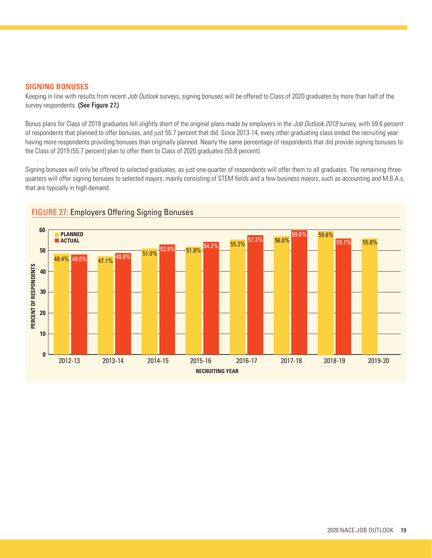#### **SIGNING BONUSES**

Keeping in line with results from recent *Job Outlook* surveys, signing bonuses will be offered to Class of 2020 graduates by more than half of the survey respondents. (See Figure 27.)

Bonus plans for Class of 2019 graduates fell slightly short of the original plans made by employers in the *Job Outlook 2019* survey, with 59.6 percent of respondents that planned to offer bonuses, and just 55.7 percent that did. Since 2013-14, every other graduating class ended the recruiting year having more respondents providing bonuses than originally planned. Nearly the same percentage of respondents that did provide signing bonuses to the Class of 2019 (55.7 percent) plan to offer them to Class of 2020 graduates (55.8 percent).

Signing bonuses will only be offered to selected graduates, as just one-quarter of respondents will offer them to all graduates. The remaining threequarters will offer signing bonuses to selected majors, mainly consisting of STEM fields and a few business majors, such as accounting and M.B.A.s, that are typically in high demand.



### FIGURE 27: Employers Offering Signing Bonuses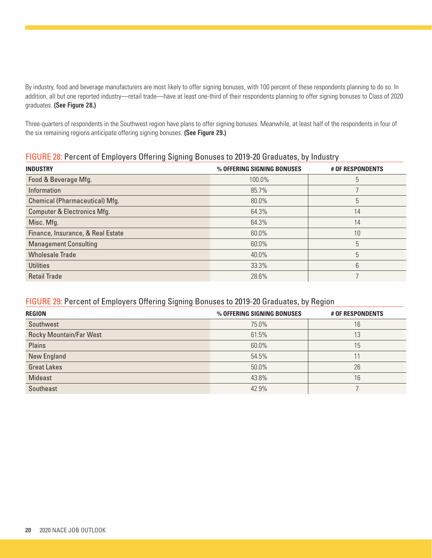By industry, food and beverage manufacturers are most likely to offer signing bonuses, with 100 percent of these respondents planning to do so. In addition, all but one reported industry—retail trade—have at least one-third of their respondents planning to offer signing bonuses to Class of 2020 graduates. (See Figure 28.)

Three-quarters of respondents in the Southwest region have plans to offer signing bonuses. Meanwhile, at least half of the respondents in four of the six remaining regions anticipate offering signing bonuses. (See Figure 29.)

#### FIGURE 28: Percent of Employers Offering Signing Bonuses to 2019-20 Graduates, by Industry

| <b>INDUSTRY</b>                   | % OFFERING SIGNING BONUSES | # OF RESPONDENTS |
|-----------------------------------|----------------------------|------------------|
| Food & Beverage Mfg.              | 100.0%                     | 5                |
| Information                       | 85.7%                      |                  |
| Chemical (Pharmaceutical) Mfg.    | 80.0%                      | 5                |
| Computer & Electronics Mfg.       | 64.3%                      | 14               |
| Misc. Mfg.                        | 64.3%                      | 14               |
| Finance, Insurance, & Real Estate | 60.0%                      | 10               |
| <b>Management Consulting</b>      | 60.0%                      | 5                |
| <b>Wholesale Trade</b>            | 40.0%                      | 5                |
| <b>Utilities</b>                  | 33.3%                      | 6                |
| <b>Retail Trade</b>               | 28.6%                      |                  |

#### FIGURE 29: Percent of Employers Offering Signing Bonuses to 2019-20 Graduates, by Region

| <b>REGION</b>                  | % OFFERING SIGNING BONUSES | # OF RESPONDENTS |
|--------------------------------|----------------------------|------------------|
| Southwest                      | 75.0%                      | 16               |
| <b>Rocky Mountain/Far West</b> | 61.5%                      | 13               |
| Plains                         | 60.0%                      | 15               |
| New England                    | 54.5%                      |                  |
| <b>Great Lakes</b>             | 50.0%                      | 26               |
| Mideast                        | 43.8%                      | 16               |
| Southeast                      | 42.9%                      |                  |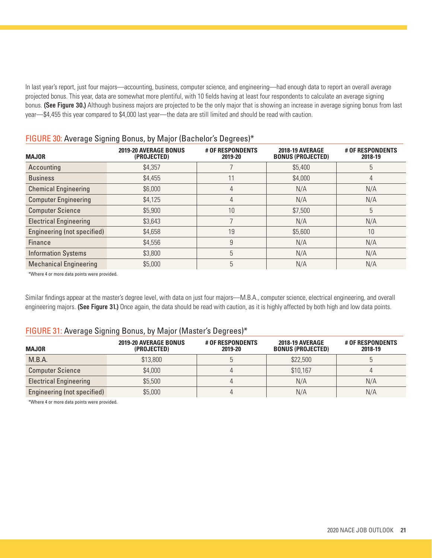In last year's report, just four majors—accounting, business, computer science, and engineering—had enough data to report an overall average projected bonus. This year, data are somewhat more plentiful, with 10 fields having at least four respondents to calculate an average signing bonus. (See Figure 30.) Although business majors are projected to be the only major that is showing an increase in average signing bonus from last year—\$4,455 this year compared to \$4,000 last year—the data are still limited and should be read with caution.

| ັ<br>ັ                        | ັ                                    | ັ                           |                                                    |                             |
|-------------------------------|--------------------------------------|-----------------------------|----------------------------------------------------|-----------------------------|
| <b>MAJOR</b>                  | 2019-20 AVERAGE BONUS<br>(PROJECTED) | # OF RESPONDENTS<br>2019-20 | <b>2018-19 AVERAGE</b><br><b>BONUS (PROJECTED)</b> | # OF RESPONDENTS<br>2018-19 |
| Accounting                    | \$4,357                              |                             | \$5,400                                            | 5                           |
| <b>Business</b>               | \$4,455                              | 11                          | \$4,000                                            | 4                           |
| <b>Chemical Engineering</b>   | \$6,000                              | 4                           | N/A                                                | N/A                         |
| <b>Computer Engineering</b>   | \$4,125                              | 4                           | N/A                                                | N/A                         |
| <b>Computer Science</b>       | \$5,900                              | 10                          | \$7,500                                            | 5                           |
| <b>Electrical Engineering</b> | \$3,643                              |                             | N/A                                                | N/A                         |
| Engineering (not specified)   | \$4,658                              | 19                          | \$5,600                                            | 10                          |
| <b>Finance</b>                | \$4,556                              | 9                           | N/A                                                | N/A                         |
| <b>Information Systems</b>    | \$3,800                              | 5                           | N/A                                                | N/A                         |
| <b>Mechanical Engineering</b> | \$5,000                              | 5                           | N/A                                                | N/A                         |

#### FIGURE 30: Average Signing Bonus, by Major (Bachelor's Degrees)\*

\*Where 4 or more data points were provided.

Similar findings appear at the master's degree level, with data on just four majors—M.B.A., computer science, electrical engineering, and overall engineering majors. (See Figure 31.) Once again, the data should be read with caution, as it is highly affected by both high and low data points.

#### FIGURE 31: Average Signing Bonus, by Major (Master's Degrees)\*

| <b>MAJOR</b>                  | 2019-20 AVERAGE BONUS<br>(PROJECTED) | # OF RESPONDENTS<br>2019-20 | <b>2018-19 AVERAGE</b><br><b>BONUS (PROJECTED)</b> | # OF RESPONDENTS<br>2018-19 |
|-------------------------------|--------------------------------------|-----------------------------|----------------------------------------------------|-----------------------------|
| M.B.A.                        | \$13,800                             |                             | \$22,500                                           |                             |
| <b>Computer Science</b>       | \$4,000                              |                             | \$10,167                                           |                             |
| <b>Electrical Engineering</b> | \$5,500                              |                             | N/A                                                | N/A                         |
| Engineering (not specified)   | \$5,000                              |                             | N/A                                                | N/A                         |

\*Where 4 or more data points were provided.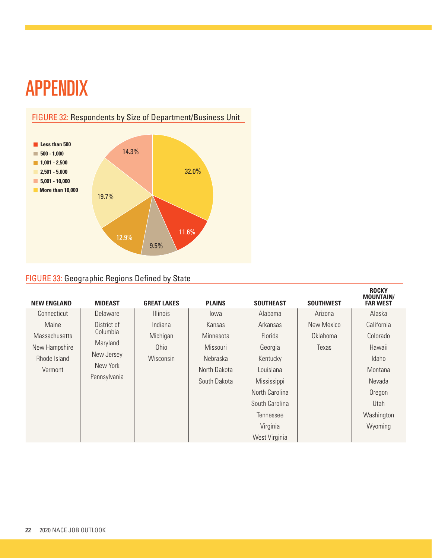# <span id="page-23-0"></span>APPENDIX





### FIGURE 33: Geographic Regions Defined by State

| <b>NEW ENGLAND</b>   | <b>MIDEAST</b> | <b>GREAT LAKES</b> | <b>PLAINS</b> | <b>SOUTHEAST</b> | <b>SOUTHWEST</b> | <b>ROCKY</b><br><b>MOUNTAIN/</b><br><b>FAR WEST</b> |
|----------------------|----------------|--------------------|---------------|------------------|------------------|-----------------------------------------------------|
| Connecticut          | Delaware       | <b>Illinois</b>    | lowa          | Alabama          | Arizona          | Alaska                                              |
| Maine                | District of    | Indiana            | Kansas        | Arkansas         | New Mexico       | California                                          |
| <b>Massachusetts</b> | Columbia       | Michigan           | Minnesota     | Florida          | Oklahoma         | Colorado                                            |
| New Hampshire        | Maryland       | Ohio               | Missouri      | Georgia          | Texas            | Hawaii                                              |
| Rhode Island         | New Jersey     | Wisconsin          | Nebraska      | Kentucky         |                  | Idaho                                               |
| Vermont              | New York       |                    | North Dakota  | Louisiana        |                  | Montana                                             |
|                      | Pennsylvania   |                    | South Dakota  | Mississippi      |                  | Nevada                                              |
|                      |                |                    |               | North Carolina   |                  | Oregon                                              |
|                      |                |                    |               | South Carolina   |                  | Utah                                                |
|                      |                |                    |               | Tennessee        |                  | Washington                                          |
|                      |                |                    |               | Virginia         |                  | Wyoming                                             |
|                      |                |                    |               | West Virginia    |                  |                                                     |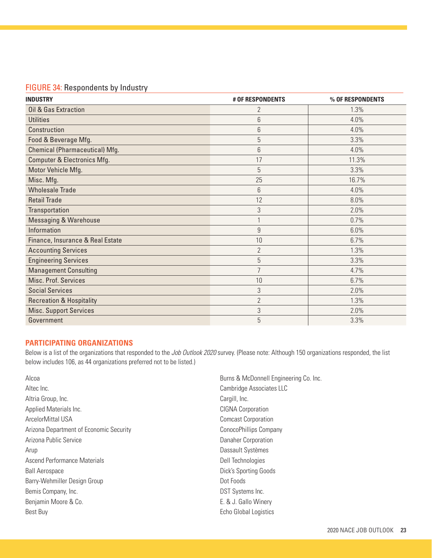## FIGURE 34: Respondents by Industry

| <b>INDUSTRY</b>                        | # OF RESPONDENTS | % OF RESPONDENTS |
|----------------------------------------|------------------|------------------|
| Oil & Gas Extraction                   | 2                | 1.3%             |
| <b>Utilities</b>                       | 6                | 4.0%             |
| Construction                           | 6                | 4.0%             |
| Food & Beverage Mfg.                   | 5                | 3.3%             |
| Chemical (Pharmaceutical) Mfg.         | 6                | 4.0%             |
| <b>Computer &amp; Electronics Mfg.</b> | 17               | 11.3%            |
| Motor Vehicle Mfg.                     | 5                | 3.3%             |
| Misc. Mfg.                             | 25               | 16.7%            |
| <b>Wholesale Trade</b>                 | 6                | 4.0%             |
| <b>Retail Trade</b>                    | 12               | 8.0%             |
| Transportation                         | 3                | 2.0%             |
| <b>Messaging &amp; Warehouse</b>       |                  | 0.7%             |
| Information                            | 9                | 6.0%             |
| Finance, Insurance & Real Estate       | 10               | 6.7%             |
| <b>Accounting Services</b>             | $\overline{2}$   | 1.3%             |
| <b>Engineering Services</b>            | 5                | 3.3%             |
| <b>Management Consulting</b>           | $\overline{7}$   | 4.7%             |
| Misc. Prof. Services                   | 10               | 6.7%             |
| <b>Social Services</b>                 | 3                | 2.0%             |
| <b>Recreation &amp; Hospitality</b>    | $\overline{2}$   | 1.3%             |
| <b>Misc. Support Services</b>          | 3                | 2.0%             |
| Government                             | 5                | 3.3%             |

#### **PARTICIPATING ORGANIZATIONS**

Below is a list of the organizations that responded to the *Job Outlook 2020* survey. (Please note: Although 150 organizations responded, the list below includes 106, as 44 organizations preferred not to be listed.)

| Alcoa                                   | Burns & McDonnell Engineering Co. Inc. |  |
|-----------------------------------------|----------------------------------------|--|
| Altec Inc.                              | Cambridge Associates LLC               |  |
| Altria Group, Inc.                      | Cargill, Inc.                          |  |
| Applied Materials Inc.                  | <b>CIGNA Corporation</b>               |  |
| ArcelorMittal USA                       | <b>Comcast Corporation</b>             |  |
| Arizona Department of Economic Security | ConocoPhillips Company                 |  |
| Arizona Public Service                  | Danaher Corporation                    |  |
| Arup                                    | Dassault Systèmes                      |  |
| Ascend Performance Materials            | Dell Technologies                      |  |
| <b>Ball Aerospace</b>                   | <b>Dick's Sporting Goods</b>           |  |
| Barry-Wehmiller Design Group            | Dot Foods                              |  |
| Bemis Company, Inc.                     | DST Systems Inc.                       |  |
| Benjamin Moore & Co.                    | E. & J. Gallo Winery                   |  |
| Best Buy                                | Echo Global Logistics                  |  |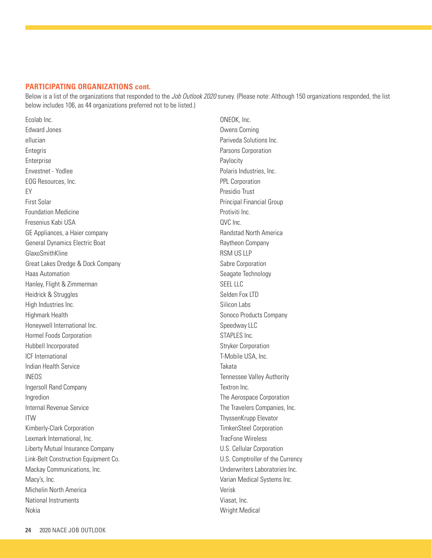#### **PARTICIPATING ORGANIZATIONS cont.**

Below is a list of the organizations that responded to the *Job Outlook 2020* survey. (Please note: Although 150 organizations responded, the list below includes 106, as 44 organizations preferred not to be listed.)

Ecolab Inc. Edward Jones ellucian Entegris Enterprise Envestnet - Yodlee EOG Resources, Inc. EY First Solar Foundation Medicine Fresenius Kabi USA GE Appliances, a Haier company General Dynamics Electric Boat GlaxoSmithKline Great Lakes Dredge & Dock Company Haas Automation Hanley, Flight & Zimmerman Heidrick & Struggles High Industries Inc. Highmark Health Honeywell International Inc. Hormel Foods Corporation Hubbell Incorporated ICF International Indian Health Service INEOS Ingersoll Rand Company Ingredion Internal Revenue Service ITW Kimberly-Clark Corporation Lexmark International, Inc. Liberty Mutual Insurance Company Link-Belt Construction Equipment Co. Mackay Communications, Inc. Macy's, Inc. Michelin North America National Instruments Nokia

ONEOK, Inc. Owens Corning Pariveda Solutions Inc. Parsons Corporation **Paylocity** Polaris Industries, Inc. PPL Corporation Presidio Trust Principal Financial Group Protiviti Inc. QVC Inc. Randstad North America Raytheon Company RSM US LLP Sabre Corporation Seagate Technology SEEL LLC Selden Fox LTD Silicon Labs Sonoco Products Company Speedway LLC STAPLES Inc. Stryker Corporation T-Mobile USA, Inc. Takata Tennessee Valley Authority Textron Inc. The Aerospace Corporation The Travelers Companies, Inc. ThyssenKrupp Elevator TimkenSteel Corporation TracFone Wireless U.S. Cellular Corporation U.S. Comptroller of the Currency Underwriters Laboratories Inc. Varian Medical Systems Inc. Verisk Viasat, Inc. Wright Medical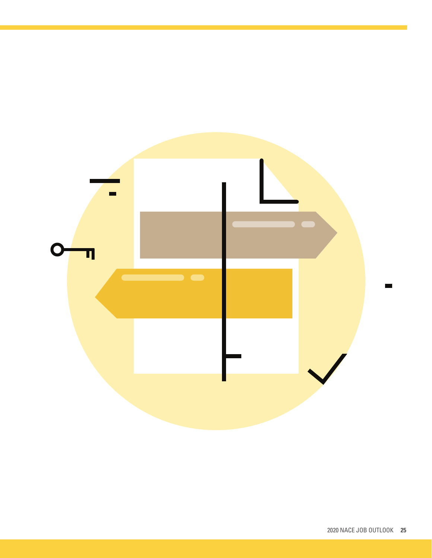